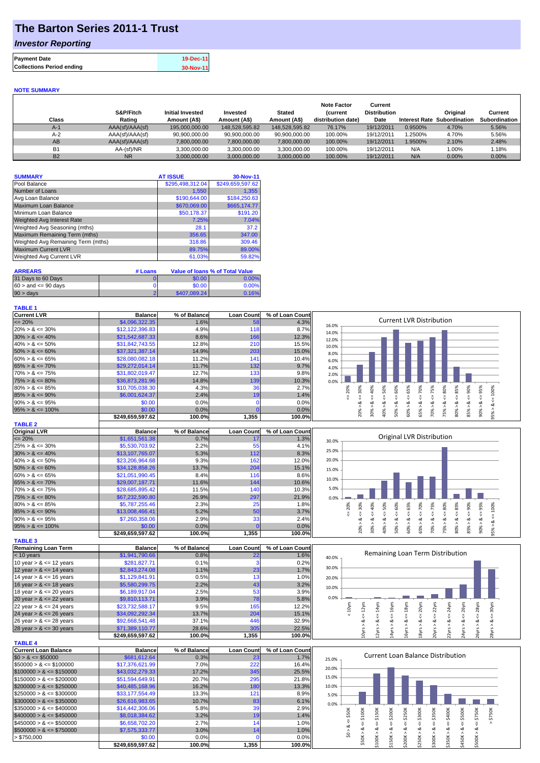## **The Barton Series 2011-1 Trust**

### *Investor Reporting*

| <b>Payment Date</b>              | 19-Dec-11 |
|----------------------------------|-----------|
| <b>Collections Period ending</b> | 30-Nov-11 |

#### **NOTE SUMMARY**

| Class     | S&P/Fitch<br>Rating | <b>Initial Invested</b><br>Amount (A\$) | Invested<br>Amount (A\$) | <b>Stated</b><br>Amount (A\$) | <b>Note Factor</b><br><b>Current</b><br>distribution date) | Current<br><b>Distribution</b><br>Date | <b>Interest Rate</b> | Original<br>Subordination | Current<br>Subordination |
|-----------|---------------------|-----------------------------------------|--------------------------|-------------------------------|------------------------------------------------------------|----------------------------------------|----------------------|---------------------------|--------------------------|
| $A-1$     | AAA(sf)/AAA(sf)     | 195,000,000,00                          | 148.528.595.82           | 148.528.595.82                | 76.17%                                                     | 19/12/2011                             | 0.9500%              | 4.70%                     | 5.56%                    |
| $A-2$     | AAA(sf)/AAA(sf)     | 90.900.000.00                           | 90.900.000.00            | 90.900.000.00                 | 100.00%                                                    | 19/12/2011                             | 1.2500%              | 4.70%                     | 5.56%                    |
| AB        | AAA(sf)/AAA(sf)     | 7,800,000.00                            | 7.800.000.00             | 7,800,000.00                  | 100.00%                                                    | 19/12/2011                             | 1.9500%              | 2.10%                     | 2.48%                    |
| <b>B1</b> | AA-(sf)/NR          | 3.300.000.00                            | 3.300.000.00             | 3.300.000.00                  | 100.00%                                                    | 19/12/2011                             | N/A                  | 1.00%                     | 1.18%                    |
| <b>B2</b> | <b>NR</b>           | 3.000.000.00                            | 3.000.000.00             | 3.000.000.00                  | 100.00%                                                    | 19/12/2011                             | N/A                  | 0.00%                     | 0.00%                    |

| <b>SUMMARY</b>                     | <b>AT ISSUE</b>  | 30-Nov-11        |
|------------------------------------|------------------|------------------|
| Pool Balance                       | \$295,498,312.04 | \$249,659,597.62 |
| Number of Loans                    | 1,550            | 1.355            |
| Avg Loan Balance                   | \$190,644.00     | \$184,250.63     |
| <b>Maximum Loan Balance</b>        | \$670,069.00     | \$665,174.77     |
| Minimum Loan Balance               | \$50,178.37      | \$191.20         |
| <b>Weighted Avg Interest Rate</b>  | 7.25%            | 7.04%            |
| Weighted Avg Seasoning (mths)      | 28.1             | 37.2             |
| Maximum Remaining Term (mths)      | 356.65           | 347.00           |
| Weighted Avg Remaining Term (mths) | 318.86           | 309.46           |
| <b>Maximum Current LVR</b>         | 89.75%           | 89.00%           |
| Weighted Avg Current LVR           | 61.03%           | 59.82%           |

| <b>ARREARS</b>            | # Loans |              | Value of Ioans % of Total Value |
|---------------------------|---------|--------------|---------------------------------|
| 31 Days to 60 Days        |         | \$0.00       | 0.00%                           |
| $60 >$ and $\leq 90$ davs |         | \$0.00       | 0.00%                           |
| $90 > \text{days}$        |         | \$407.089.24 | 0.16%                           |

| <b>TABLE 1</b>       |                  |              |                   |                 |                                                                              |
|----------------------|------------------|--------------|-------------------|-----------------|------------------------------------------------------------------------------|
| <b>Current LVR</b>   | <b>Balance</b>   | % of Balance | <b>Loan Count</b> | % of Loan Count |                                                                              |
| $\leq$ 20%           | \$4,096,322.35   | 1.6%         | 58                | 4.3%            | <b>Current LVR Distribution</b><br>16.0%                                     |
| $20\% > 8 \le 30\%$  | \$12,122,396.83  | 4.9%         | 118               | 8.7%            | 14.0%                                                                        |
| $30\% > 8 \le 40\%$  | \$21,542,687.33  | 8.6%         | 166               | 12.3%           | 12.0%                                                                        |
| $40\% > 8 \le 50\%$  | \$31,842,743.55  | 12.8%        | 21C               | 15.5%           | 10.0%                                                                        |
| $50\% > 8 \le 60\%$  | \$37,321,387.14  | 14.9%        | 203               | 15.0%           | 8.0%                                                                         |
| $60\% > 8 \le 65\%$  | \$28,080,082.18  | 11.2%        | 14 <sup>′</sup>   | 10.4%           | 6.0%                                                                         |
| $65\% > 8 \le 70\%$  | \$29,272,014.14  | 11.7%        | 132               | 9.7%            | 4.0%                                                                         |
| $70\% > 8 \le 75\%$  | \$31,802,019.47  | 12.7%        | 133               | 9.8%            | 2.0%                                                                         |
| $75\% > 8 \le 80\%$  | \$36,873,281.96  | 14.8%        | 139               | 10.3%           | 0.0%                                                                         |
| $80\% > 8 \le 85\%$  | \$10,705,038.30  | 4.3%         | 36                | 2.7%            | 40%<br>70%<br>℅<br>Š<br>Ř<br>Š<br>ဝ္တ<br>ūη.<br>ю<br>n<br>င္က                |
| $85\% > 8 \le 90\%$  | \$6,001,624.37   | 2.4%         | 19 <sub>1</sub>   | 1.4%            | ā                                                                            |
| $90\% > 8 \le 95\%$  | \$0.00           | $0.0\%$      |                   | $0.0\%$         | ۵X                                                                           |
| $95\% > 8 \le 100\%$ | \$0.00           | 0.0%         |                   | 0.0%            |                                                                              |
|                      | \$249.659.597.62 | 100.0%       | 1,355             | 100.0%          | 80%<br>ă<br>ð<br>š<br>◓<br>∘<br>∘<br>$\bar{N}$<br>$\infty$<br>$\overline{ }$ |

| <b>TABLE 2</b>       |                  |              |                   |                 |
|----------------------|------------------|--------------|-------------------|-----------------|
| <b>Original LVR</b>  | <b>Balance</b>   | % of Balance | <b>Loan Count</b> | % of Loan Count |
| $\leq$ 20%           | \$1,651,561.38   | 0.7%         | 17                | 1.3%            |
| $25\% > 8 \le 30\%$  | \$5,530,703.92   | 2.2%         | 55                | 4.1%            |
| $30\% > 8 \le 40\%$  | \$13,107,765.07  | 5.3%         | 112               | 8.3%            |
| $40\% > 8 \le 50\%$  | \$23,206,964.68  | 9.3%         | 162               | 12.0%           |
| $50\% > 8 \le 60\%$  | \$34,128,858.26  | 13.7%        | 204               | 15.1%           |
| $60\% > 8 \le 65\%$  | \$21.051.990.45  | 8.4%         | 116               | 8.6%            |
| $65\% > 8 \le 70\%$  | \$29,007,187.71  | 11.6%        | 144               | 10.6%           |
| $70\% > 8 \le 75\%$  | \$28,685,895.42  | 11.5%        | 140               | 10.3%           |
| $75\% > 8 \le 80\%$  | \$67,232,590.80  | 26.9%        | 297               | 21.9%           |
| $80\% > 8 \le 85\%$  | \$5,787,255.46   | 2.3%         | 25                | 1.8%            |
| $85\% > 8 \le 90\%$  | \$13,008,466.41  | 5.2%         | 50                | 3.7%            |
| $90\% > 8 \le 95\%$  | \$7,260,358.06   | 2.9%         | 33                | 2.4%            |
| $95\% > 8 \le 100\%$ | \$0.00           | 0.0%         |                   | 0.0%            |
|                      | \$249.659.597.62 | 100.0%       | 1,355             | 100.0%          |

| <b>TABLE 3</b>             |                  |              |                   |                 |
|----------------------------|------------------|--------------|-------------------|-----------------|
| <b>Remaining Loan Term</b> | <b>Balance</b>   | % of Balance | <b>Loan Count</b> | % of Loan Count |
| $< 10$ years               | \$1,941,790.66   | 0.8%         | 22                | 1.6%            |
| 10 year $> 8 \le 12$ years | \$281,827.71     | 0.1%         |                   | 0.2%            |
| 12 year $> 8 \le 14$ years | \$2,843,274.08   | 1.1%         | 23                | 1.7%            |
| 14 year $> 8 \le 16$ years | \$1,129,841.91   | 0.5%         | 13                | 1.0%            |
| 16 year $> 8 \le 18$ years | \$5,580,299.75   | 2.2%         | 43                | 3.2%            |
| 18 year $> 8 \le 20$ years | \$6,189,917.04   | 2.5%         | 53                | 3.9%            |
| 20 year $> 8 \le 22$ years | \$9,810,113.71   | 3.9%         | 78                | 5.8%            |
| 22 year $> 8 \le 24$ years | \$23,732,588.17  | 9.5%         | 165               | 12.2%           |
| 24 year $> 8 \le 26$ years | \$34,092,292.34  | 13.7%        | 204               | 15.1%           |
| 26 year $> 8 \le 28$ years | \$92,668,541.48  | 37.1%        | 446               | 32.9%           |
| 28 year $> 8 \le 30$ years | \$71,389,110.77  | 28.6%        | 305               | 22.5%           |
|                            | \$249.659.597.62 | 100.0%       | 1.355             | 100.0%          |

| <b>TABLE 4</b>               |                  |              |                   |                 |
|------------------------------|------------------|--------------|-------------------|-----------------|
| <b>Current Loan Balance</b>  | <b>Balance</b>   | % of Balance | <b>Loan Count</b> | % of Loan Count |
| $$0 > 8 \leq $50000$         | \$681.612.64     | 0.3%         | 231               | 1.7%            |
| $$50000 > 8 \leq $100000$    | \$17,376,621.99  | 7.0%         | 222               | 16.4%           |
| $$100000 > 8 \leq $150000$   | \$43,032,279.33  | 17.2%        | 345               | 25.5%           |
| $$150000 > 8 \leq $200000$   | \$51.594.649.91  | 20.7%        | 295               | 21.8%           |
| $$200000 > 8 \leq $250000$   | \$40,485,168,96  | 16.2%        | 180               | 13.3%           |
| $$250000 > 8 \leq $300000$   | \$33.177.554.49  | 13.3%        | 121               | 8.9%            |
| $$300000 > 8 \leq $350000$   | \$26,616,983,65  | 10.7%        | 83                | 6.1%            |
| $\$350000 > 8 \leq \$400000$ | \$14,442,306.06  | 5.8%         | 39                | 2.9%            |
| $$400000 > 8 \leq $450000$   | \$8,018,384.62   | 3.2%         | 19                | 1.4%            |
| $$450000 > 8 \leq $500000$   | \$6,658,702.20   | 2.7%         | 14                | 1.0%            |
| $$500000 > 8 \leq $750000$   | \$7,575,333.77   | 3.0%         | 14                | 1.0%            |
| > \$750,000                  | \$0.00           | 0.0%         |                   | 0.0%            |
|                              | \$249.659.597.62 | 100.0%       | 1.355             | 100.0%l         |